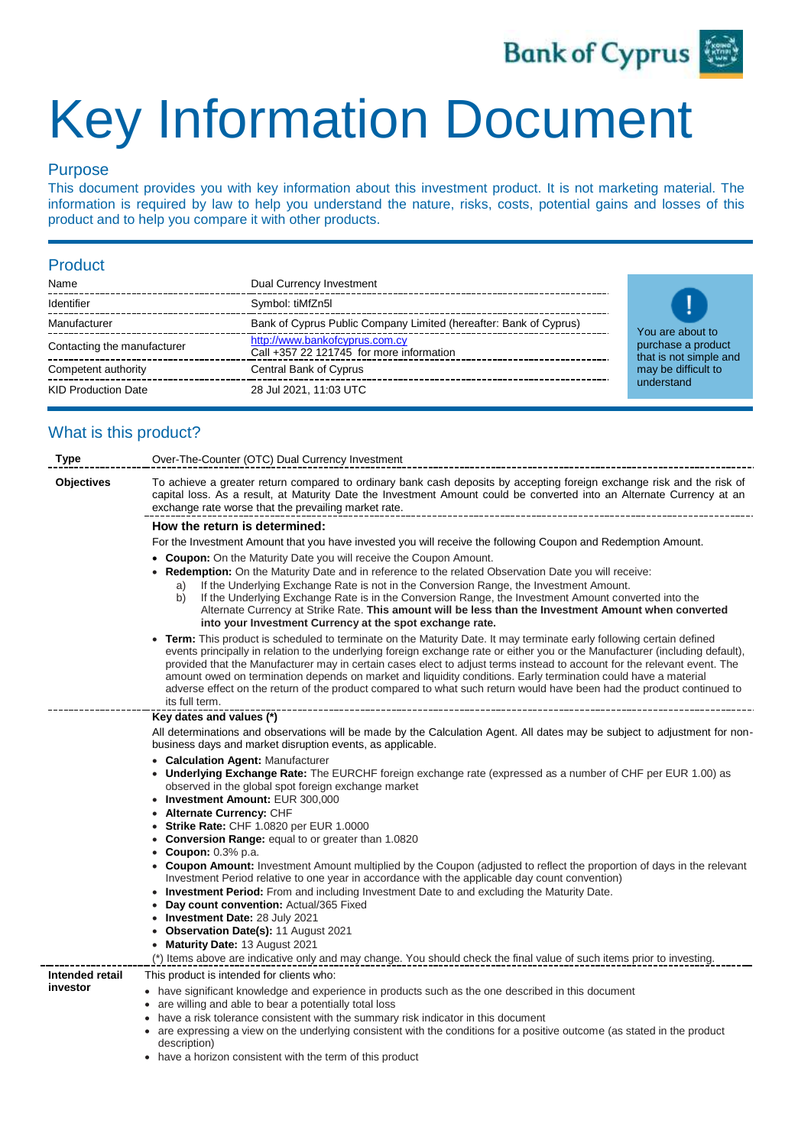

# Key Information Document

### Purpose

This document provides you with key information about this investment product. It is not marketing material. The information is required by law to help you understand the nature, risks, costs, potential gains and losses of this product and to help you compare it with other products.

#### Product

| Name                        | Dual Currency Investment                                                   |
|-----------------------------|----------------------------------------------------------------------------|
| Identifier                  | Symbol: tiMfZn5l                                                           |
| Manufacturer                | Bank of Cyprus Public Company Limited (hereafter: Bank of Cyprus)          |
| Contacting the manufacturer | http://www.bankofcyprus.com.cy<br>Call +357 22 121745 for more information |
| Competent authority         | Central Bank of Cyprus                                                     |
| <b>KID Production Date</b>  | 28 Jul 2021, 11:03 UTC                                                     |



## What is this product?

| <b>Type</b>       | Over-The-Counter (OTC) Dual Currency Investment                                                                                                                                                                                                                                                                                                                                                                                                                                                                                                                                                                                               |  |  |  |  |
|-------------------|-----------------------------------------------------------------------------------------------------------------------------------------------------------------------------------------------------------------------------------------------------------------------------------------------------------------------------------------------------------------------------------------------------------------------------------------------------------------------------------------------------------------------------------------------------------------------------------------------------------------------------------------------|--|--|--|--|
| <b>Objectives</b> | To achieve a greater return compared to ordinary bank cash deposits by accepting foreign exchange risk and the risk of<br>capital loss. As a result, at Maturity Date the Investment Amount could be converted into an Alternate Currency at an<br>exchange rate worse that the prevailing market rate.                                                                                                                                                                                                                                                                                                                                       |  |  |  |  |
|                   | How the return is determined:                                                                                                                                                                                                                                                                                                                                                                                                                                                                                                                                                                                                                 |  |  |  |  |
|                   | For the Investment Amount that you have invested you will receive the following Coupon and Redemption Amount.                                                                                                                                                                                                                                                                                                                                                                                                                                                                                                                                 |  |  |  |  |
|                   | • Coupon: On the Maturity Date you will receive the Coupon Amount.                                                                                                                                                                                                                                                                                                                                                                                                                                                                                                                                                                            |  |  |  |  |
|                   | <b>Redemption:</b> On the Maturity Date and in reference to the related Observation Date you will receive:<br>If the Underlying Exchange Rate is not in the Conversion Range, the Investment Amount.<br>a)                                                                                                                                                                                                                                                                                                                                                                                                                                    |  |  |  |  |
|                   | If the Underlying Exchange Rate is in the Conversion Range, the Investment Amount converted into the<br>b)<br>Alternate Currency at Strike Rate. This amount will be less than the Investment Amount when converted<br>into your Investment Currency at the spot exchange rate.                                                                                                                                                                                                                                                                                                                                                               |  |  |  |  |
|                   | Term: This product is scheduled to terminate on the Maturity Date. It may terminate early following certain defined<br>events principally in relation to the underlying foreign exchange rate or either you or the Manufacturer (including default),<br>provided that the Manufacturer may in certain cases elect to adjust terms instead to account for the relevant event. The<br>amount owed on termination depends on market and liquidity conditions. Early termination could have a material<br>adverse effect on the return of the product compared to what such return would have been had the product continued to<br>its full term. |  |  |  |  |
|                   | Key dates and values (*)                                                                                                                                                                                                                                                                                                                                                                                                                                                                                                                                                                                                                      |  |  |  |  |
|                   | All determinations and observations will be made by the Calculation Agent. All dates may be subject to adjustment for non-<br>business days and market disruption events, as applicable.                                                                                                                                                                                                                                                                                                                                                                                                                                                      |  |  |  |  |
|                   | • Calculation Agent: Manufacturer<br>Underlying Exchange Rate: The EURCHF foreign exchange rate (expressed as a number of CHF per EUR 1.00) as<br>observed in the global spot foreign exchange market                                                                                                                                                                                                                                                                                                                                                                                                                                         |  |  |  |  |
|                   | • Investment Amount: EUR 300,000<br>Alternate Currency: CHF                                                                                                                                                                                                                                                                                                                                                                                                                                                                                                                                                                                   |  |  |  |  |
|                   | <b>Strike Rate: CHF 1.0820 per EUR 1.0000</b>                                                                                                                                                                                                                                                                                                                                                                                                                                                                                                                                                                                                 |  |  |  |  |
|                   | • Conversion Range: equal to or greater than 1.0820                                                                                                                                                                                                                                                                                                                                                                                                                                                                                                                                                                                           |  |  |  |  |
|                   | <b>Coupon:</b> 0.3% p.a.                                                                                                                                                                                                                                                                                                                                                                                                                                                                                                                                                                                                                      |  |  |  |  |
|                   | • Coupon Amount: Investment Amount multiplied by the Coupon (adjusted to reflect the proportion of days in the relevant<br>Investment Period relative to one year in accordance with the applicable day count convention)                                                                                                                                                                                                                                                                                                                                                                                                                     |  |  |  |  |
|                   | • Investment Period: From and including Investment Date to and excluding the Maturity Date.                                                                                                                                                                                                                                                                                                                                                                                                                                                                                                                                                   |  |  |  |  |
|                   | Day count convention: Actual/365 Fixed                                                                                                                                                                                                                                                                                                                                                                                                                                                                                                                                                                                                        |  |  |  |  |
|                   | • Investment Date: 28 July 2021<br>• Observation Date(s): 11 August 2021                                                                                                                                                                                                                                                                                                                                                                                                                                                                                                                                                                      |  |  |  |  |
|                   | Maturity Date: 13 August 2021                                                                                                                                                                                                                                                                                                                                                                                                                                                                                                                                                                                                                 |  |  |  |  |
|                   | (*) Items above are indicative only and may change. You should check the final value of such items prior to investing.                                                                                                                                                                                                                                                                                                                                                                                                                                                                                                                        |  |  |  |  |
| Intended retail   | This product is intended for clients who:                                                                                                                                                                                                                                                                                                                                                                                                                                                                                                                                                                                                     |  |  |  |  |
| investor          | • have significant knowledge and experience in products such as the one described in this document<br>• are willing and able to bear a potentially total loss<br>• have a risk tolerance consistent with the summary risk indicator in this document                                                                                                                                                                                                                                                                                                                                                                                          |  |  |  |  |
|                   | • are expressing a view on the underlying consistent with the conditions for a positive outcome (as stated in the product<br>description)                                                                                                                                                                                                                                                                                                                                                                                                                                                                                                     |  |  |  |  |

• have a horizon consistent with the term of this product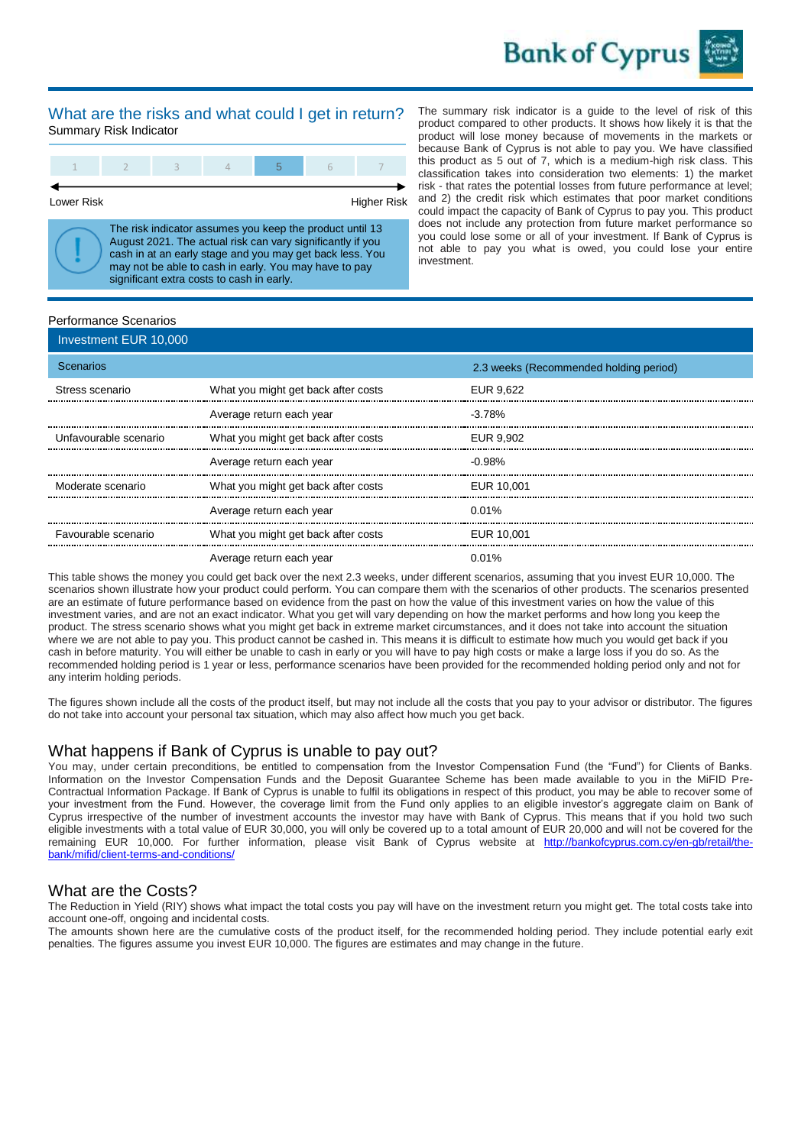

#### What are the risks and what could I get in return? Summary Risk Indicator

Lower Risk **Higher Risk** Higher Risk

The risk indicator assumes you keep the product until 13 August 2021. The actual risk can vary significantly if you cash in at an early stage and you may get back less. You may not be able to cash in early. You may have to pay significant extra costs to cash in early.

The summary risk indicator is a guide to the level of risk of this product compared to other products. It shows how likely it is that the product will lose money because of movements in the markets or because Bank of Cyprus is not able to pay you. We have classified this product as 5 out of 7, which is a medium-high risk class. This classification takes into consideration two elements: 1) the market risk - that rates the potential losses from future performance at level; and 2) the credit risk which estimates that poor market conditions could impact the capacity of Bank of Cyprus to pay you. This product does not include any protection from future market performance so you could lose some or all of your investment. If Bank of Cyprus is not able to pay you what is owed, you could lose your entire investment.

#### Performance Scenarios

| Investment EUR 10,000 |                                     |                                        |
|-----------------------|-------------------------------------|----------------------------------------|
| <b>Scenarios</b>      |                                     | 2.3 weeks (Recommended holding period) |
| Stress scenario       | What you might get back after costs | EUR 9.622                              |
|                       | Average return each year            | $-3.78%$                               |
| Unfavourable scenario | What you might get back after costs | EUR 9.902                              |
|                       | Average return each year            | $-0.98\%$                              |
| Moderate scenario     | What you might get back after costs | EUR 10.001                             |
|                       | Average return each year            | $0.01\%$                               |
| Favourable scenario   | What you might get back after costs | EUR 10,001                             |
|                       | Average return each year            | 0.01%                                  |

This table shows the money you could get back over the next 2.3 weeks, under different scenarios, assuming that you invest EUR 10,000. The scenarios shown illustrate how your product could perform. You can compare them with the scenarios of other products. The scenarios presented are an estimate of future performance based on evidence from the past on how the value of this investment varies on how the value of this investment varies, and are not an exact indicator. What you get will vary depending on how the market performs and how long you keep the product. The stress scenario shows what you might get back in extreme market circumstances, and it does not take into account the situation where we are not able to pay you. This product cannot be cashed in. This means it is difficult to estimate how much you would get back if you cash in before maturity. You will either be unable to cash in early or you will have to pay high costs or make a large loss if you do so. As the recommended holding period is 1 year or less, performance scenarios have been provided for the recommended holding period only and not for any interim holding periods.

The figures shown include all the costs of the product itself, but may not include all the costs that you pay to your advisor or distributor. The figures do not take into account your personal tax situation, which may also affect how much you get back.

#### What happens if Bank of Cyprus is unable to pay out?

You may, under certain preconditions, be entitled to compensation from the Investor Compensation Fund (the "Fund") for Clients of Banks. Information on the Investor Compensation Funds and the Deposit Guarantee Scheme has been made available to you in the MiFID Pre-Contractual Information Package. If Bank of Cyprus is unable to fulfil its obligations in respect of this product, you may be able to recover some of your investment from the Fund. However, the coverage limit from the Fund only applies to an eligible investor's aggregate claim on Bank of Cyprus irrespective of the number of investment accounts the investor may have with Bank of Cyprus. This means that if you hold two such eligible investments with a total value of EUR 30,000, you will only be covered up to a total amount of EUR 20,000 and will not be covered for the remaining EUR 10,000. For further information, please visit Bank of Cyprus website at [http://bankofcyprus.com.cy/en-gb/retail/the](http://bankofcyprus.com.cy/en-gb/retail/the-bank/mifid/client-terms-and-conditions)[bank/mifid/client-terms-and-conditions/](http://bankofcyprus.com.cy/en-gb/retail/the-bank/mifid/client-terms-and-conditions)

#### What are the Costs?

The Reduction in Yield (RIY) shows what impact the total costs you pay will have on the investment return you might get. The total costs take into account one-off, ongoing and incidental costs.

The amounts shown here are the cumulative costs of the product itself, for the recommended holding period. They include potential early exit penalties. The figures assume you invest EUR 10,000. The figures are estimates and may change in the future.